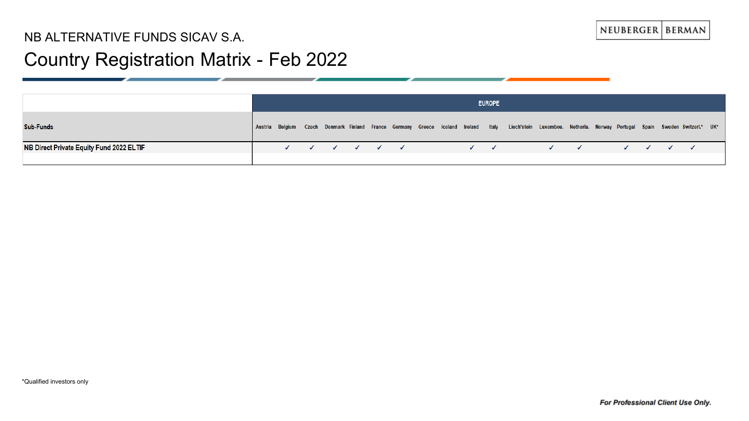## Country Registration Matrix - Feb 2022

|                                          | <b>EUROPE</b> |  |  |                                                                  |  |  |  |  |  |                           |  |                                                                                                                                                               |                           |  |  |  |  |  |
|------------------------------------------|---------------|--|--|------------------------------------------------------------------|--|--|--|--|--|---------------------------|--|---------------------------------------------------------------------------------------------------------------------------------------------------------------|---------------------------|--|--|--|--|--|
| <b>Sub-Funds</b>                         |               |  |  |                                                                  |  |  |  |  |  |                           |  | Austria Belgium Czech Denmark Finland France Germany Greece Iceland Ireland Italy Liech'stein Luxembou. Netherla. Norway Portugal Spain Sweden-Switzerl.* UK* |                           |  |  |  |  |  |
| NB Direct Private Equity Fund 2022 ELTIF |               |  |  | $\checkmark$ $\checkmark$ $\checkmark$ $\checkmark$ $\checkmark$ |  |  |  |  |  | $\checkmark$ $\checkmark$ |  |                                                                                                                                                               | $\checkmark$ $\checkmark$ |  |  |  |  |  |